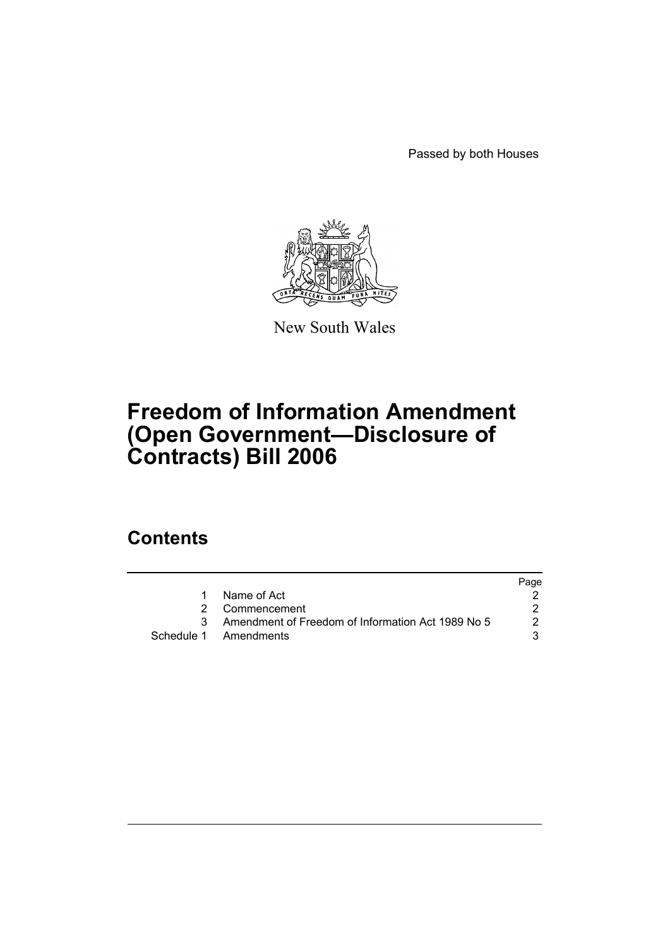Passed by both Houses



New South Wales

# **Freedom of Information Amendment (Open Government—Disclosure of Contracts) Bill 2006**

## **Contents**

|                                                     | Page |
|-----------------------------------------------------|------|
| Name of Act                                         |      |
| 2 Commencement                                      |      |
| 3 Amendment of Freedom of Information Act 1989 No 5 | 2    |
| Schedule 1 Amendments                               | 3    |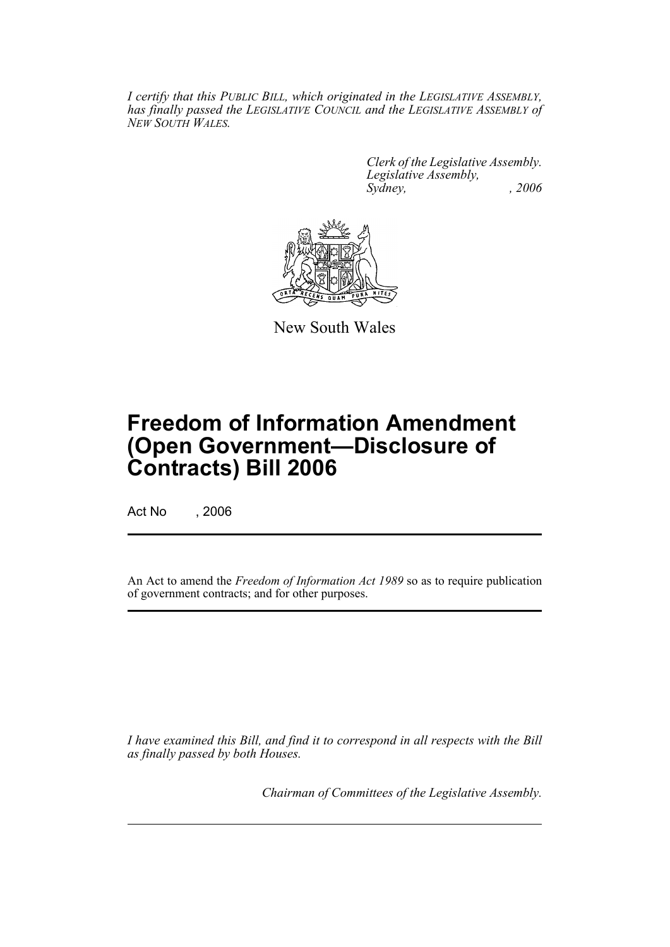*I certify that this PUBLIC BILL, which originated in the LEGISLATIVE ASSEMBLY, has finally passed the LEGISLATIVE COUNCIL and the LEGISLATIVE ASSEMBLY of NEW SOUTH WALES.*

> *Clerk of the Legislative Assembly. Legislative Assembly, Sydney, , 2006*



New South Wales

# **Freedom of Information Amendment (Open Government—Disclosure of Contracts) Bill 2006**

Act No , 2006

An Act to amend the *Freedom of Information Act 1989* so as to require publication of government contracts; and for other purposes.

*I have examined this Bill, and find it to correspond in all respects with the Bill as finally passed by both Houses.*

*Chairman of Committees of the Legislative Assembly.*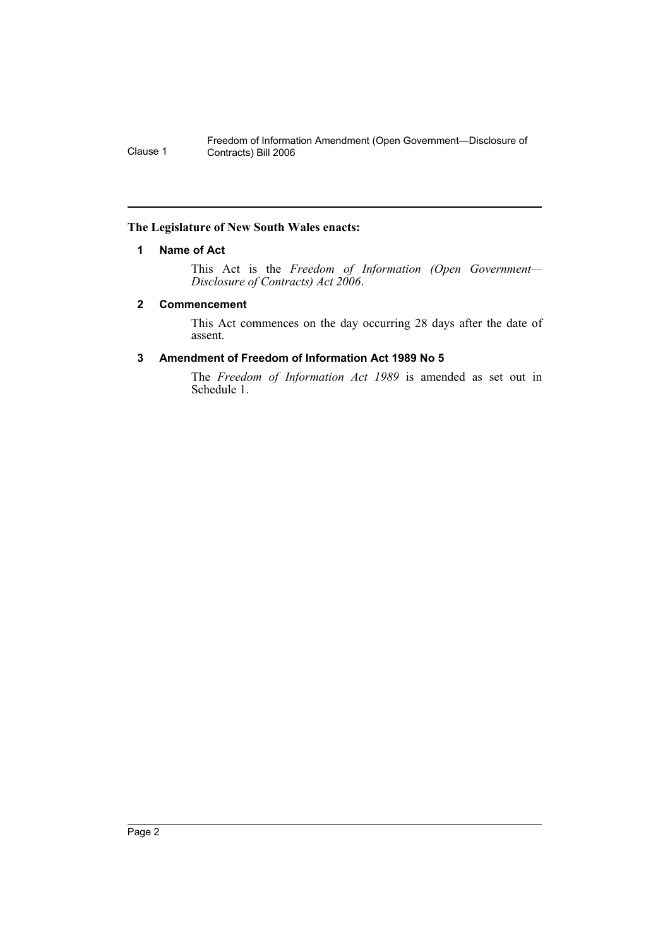### **The Legislature of New South Wales enacts:**

### **1 Name of Act**

This Act is the *Freedom of Information (Open Government— Disclosure of Contracts) Act 2006*.

### **2 Commencement**

This Act commences on the day occurring 28 days after the date of assent.

### **3 Amendment of Freedom of Information Act 1989 No 5**

The *Freedom of Information Act 1989* is amended as set out in Schedule 1.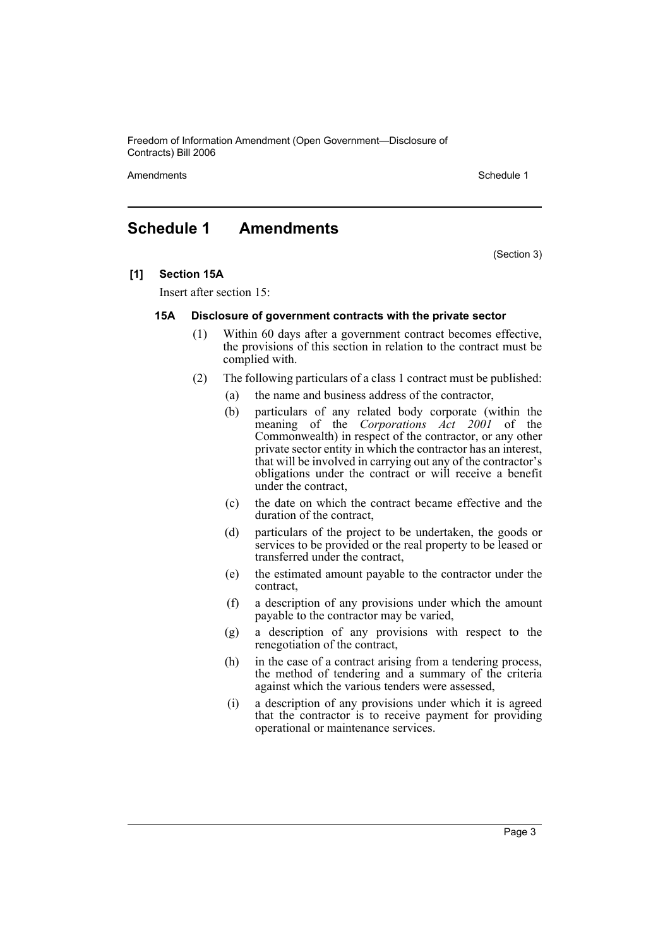Amendments **Amendments** Schedule 1

### **Schedule 1 Amendments**

(Section 3)

**[1] Section 15A**

Insert after section 15:

#### **15A Disclosure of government contracts with the private sector**

- (1) Within 60 days after a government contract becomes effective, the provisions of this section in relation to the contract must be complied with.
- (2) The following particulars of a class 1 contract must be published:
	- (a) the name and business address of the contractor,
	- (b) particulars of any related body corporate (within the meaning of the *Corporations Act 2001* of the Commonwealth) in respect of the contractor, or any other private sector entity in which the contractor has an interest, that will be involved in carrying out any of the contractor's obligations under the contract or will receive a benefit under the contract,
	- (c) the date on which the contract became effective and the duration of the contract,
	- (d) particulars of the project to be undertaken, the goods or services to be provided or the real property to be leased or transferred under the contract,
	- (e) the estimated amount payable to the contractor under the contract,
	- (f) a description of any provisions under which the amount payable to the contractor may be varied,
	- (g) a description of any provisions with respect to the renegotiation of the contract,
	- (h) in the case of a contract arising from a tendering process, the method of tendering and a summary of the criteria against which the various tenders were assessed,
	- (i) a description of any provisions under which it is agreed that the contractor is to receive payment for providing operational or maintenance services.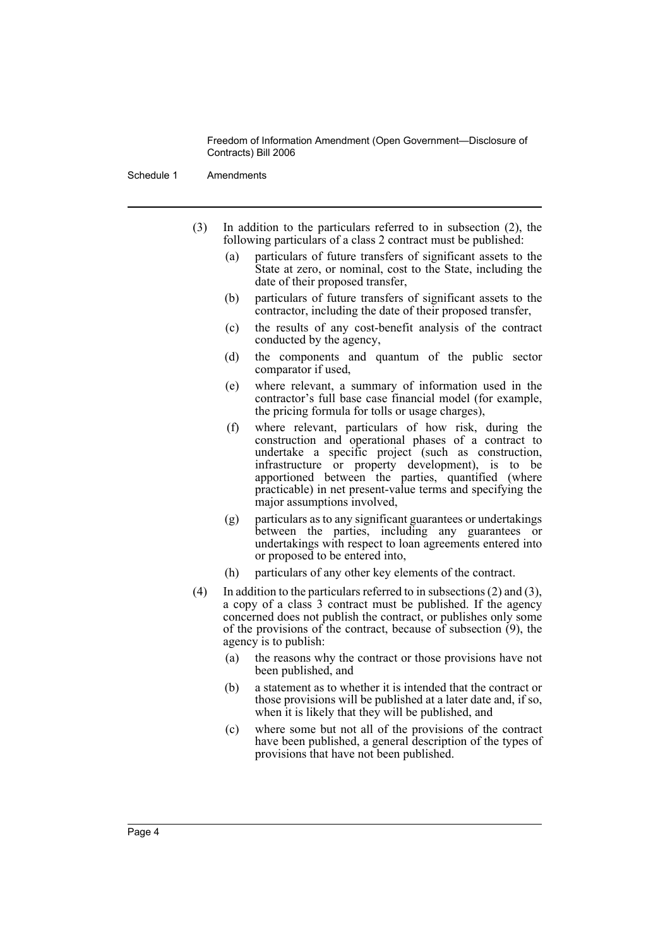Schedule 1 Amendments

- (3) In addition to the particulars referred to in subsection (2), the following particulars of a class 2 contract must be published:
	- (a) particulars of future transfers of significant assets to the State at zero, or nominal, cost to the State, including the date of their proposed transfer,
	- (b) particulars of future transfers of significant assets to the contractor, including the date of their proposed transfer,
	- (c) the results of any cost-benefit analysis of the contract conducted by the agency,
	- (d) the components and quantum of the public sector comparator if used,
	- (e) where relevant, a summary of information used in the contractor's full base case financial model (for example, the pricing formula for tolls or usage charges),
	- (f) where relevant, particulars of how risk, during the construction and operational phases of a contract to undertake a specific project (such as construction, infrastructure or property development), is to be apportioned between the parties, quantified (where practicable) in net present-value terms and specifying the major assumptions involved,
	- (g) particulars as to any significant guarantees or undertakings between the parties, including any guarantees or undertakings with respect to loan agreements entered into or proposed to be entered into,
	- (h) particulars of any other key elements of the contract.
- (4) In addition to the particulars referred to in subsections (2) and (3), a copy of a class 3 contract must be published. If the agency concerned does not publish the contract, or publishes only some of the provisions of the contract, because of subsection (9), the agency is to publish:
	- (a) the reasons why the contract or those provisions have not been published, and
	- (b) a statement as to whether it is intended that the contract or those provisions will be published at a later date and, if so, when it is likely that they will be published, and
	- (c) where some but not all of the provisions of the contract have been published, a general description of the types of provisions that have not been published.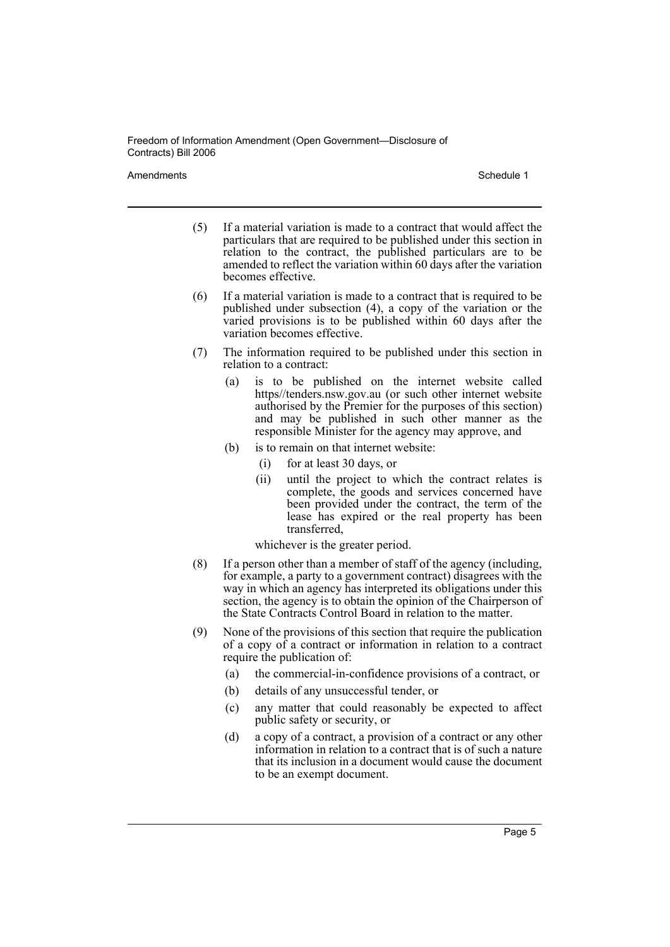Amendments **Amendments** Schedule 1

- (5) If a material variation is made to a contract that would affect the particulars that are required to be published under this section in relation to the contract, the published particulars are to be amended to reflect the variation within 60 days after the variation becomes effective.
- (6) If a material variation is made to a contract that is required to be published under subsection (4), a copy of the variation or the varied provisions is to be published within 60 days after the variation becomes effective.
- (7) The information required to be published under this section in relation to a contract:
	- (a) is to be published on the internet website called https//tenders.nsw.gov.au (or such other internet website authorised by the Premier for the purposes of this section) and may be published in such other manner as the responsible Minister for the agency may approve, and
	- (b) is to remain on that internet website:
		- (i) for at least 30 days, or
		- (ii) until the project to which the contract relates is complete, the goods and services concerned have been provided under the contract, the term of the lease has expired or the real property has been transferred,

whichever is the greater period.

- (8) If a person other than a member of staff of the agency (including, for example, a party to a government contract) disagrees with the way in which an agency has interpreted its obligations under this section, the agency is to obtain the opinion of the Chairperson of the State Contracts Control Board in relation to the matter.
- (9) None of the provisions of this section that require the publication of a copy of a contract or information in relation to a contract require the publication of:
	- (a) the commercial-in-confidence provisions of a contract, or
	- (b) details of any unsuccessful tender, or
	- (c) any matter that could reasonably be expected to affect public safety or security, or
	- (d) a copy of a contract, a provision of a contract or any other information in relation to a contract that is of such a nature that its inclusion in a document would cause the document to be an exempt document.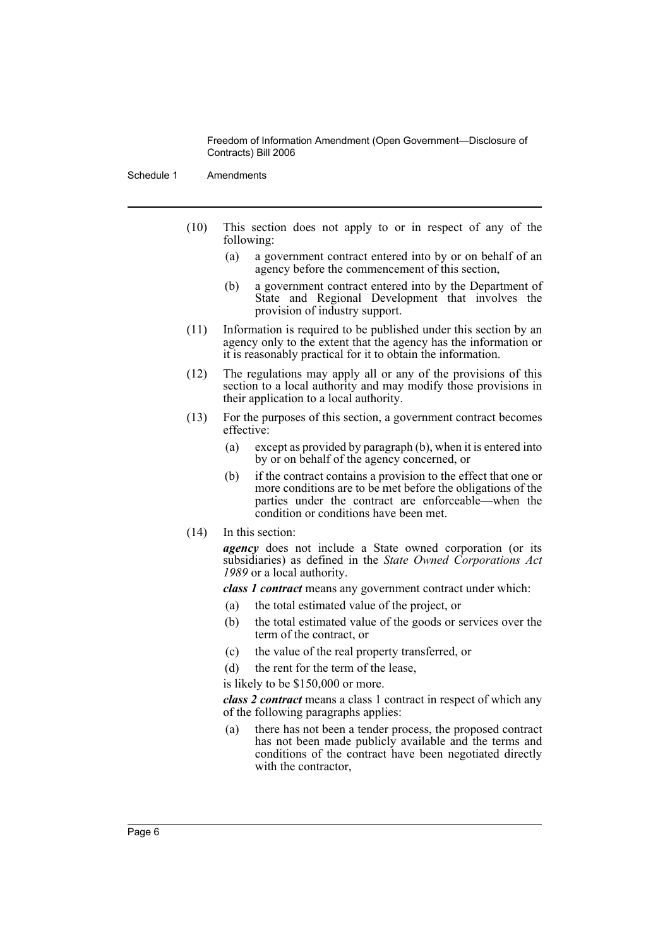Schedule 1 Amendments

- (10) This section does not apply to or in respect of any of the following:
	- (a) a government contract entered into by or on behalf of an agency before the commencement of this section,
	- (b) a government contract entered into by the Department of State and Regional Development that involves the provision of industry support.
- (11) Information is required to be published under this section by an agency only to the extent that the agency has the information or it is reasonably practical for it to obtain the information.
- (12) The regulations may apply all or any of the provisions of this section to a local authority and may modify those provisions in their application to a local authority.
- (13) For the purposes of this section, a government contract becomes effective:
	- (a) except as provided by paragraph (b), when it is entered into by or on behalf of the agency concerned, or
	- (b) if the contract contains a provision to the effect that one or more conditions are to be met before the obligations of the parties under the contract are enforceable—when the condition or conditions have been met.
- (14) In this section:

*agency* does not include a State owned corporation (or its subsidiaries) as defined in the *State Owned Corporations Act 1989* or a local authority.

*class 1 contract* means any government contract under which:

- (a) the total estimated value of the project, or
- (b) the total estimated value of the goods or services over the term of the contract, or
- (c) the value of the real property transferred, or
- (d) the rent for the term of the lease,

is likely to be \$150,000 or more.

*class 2 contract* means a class 1 contract in respect of which any of the following paragraphs applies:

(a) there has not been a tender process, the proposed contract has not been made publicly available and the terms and conditions of the contract have been negotiated directly with the contractor,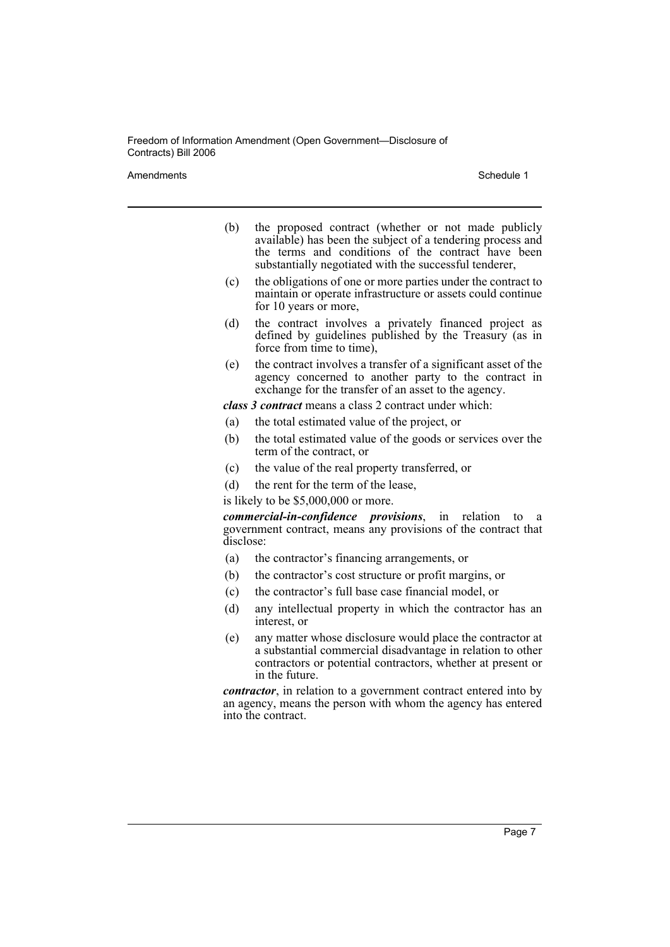Amendments **Amendments** Schedule 1

- (b) the proposed contract (whether or not made publicly available) has been the subject of a tendering process and the terms and conditions of the contract have been substantially negotiated with the successful tenderer,
- (c) the obligations of one or more parties under the contract to maintain or operate infrastructure or assets could continue for 10 years or more,
- (d) the contract involves a privately financed project as defined by guidelines published by the Treasury (as in force from time to time),
- (e) the contract involves a transfer of a significant asset of the agency concerned to another party to the contract in exchange for the transfer of an asset to the agency.

*class 3 contract* means a class 2 contract under which:

- (a) the total estimated value of the project, or
- (b) the total estimated value of the goods or services over the term of the contract, or
- (c) the value of the real property transferred, or
- (d) the rent for the term of the lease,

is likely to be \$5,000,000 or more.

*commercial-in-confidence provisions*, in relation to a government contract, means any provisions of the contract that disclose:

- (a) the contractor's financing arrangements, or
- (b) the contractor's cost structure or profit margins, or
- (c) the contractor's full base case financial model, or
- (d) any intellectual property in which the contractor has an interest, or
- (e) any matter whose disclosure would place the contractor at a substantial commercial disadvantage in relation to other contractors or potential contractors, whether at present or in the future.

*contractor*, in relation to a government contract entered into by an agency, means the person with whom the agency has entered into the contract.